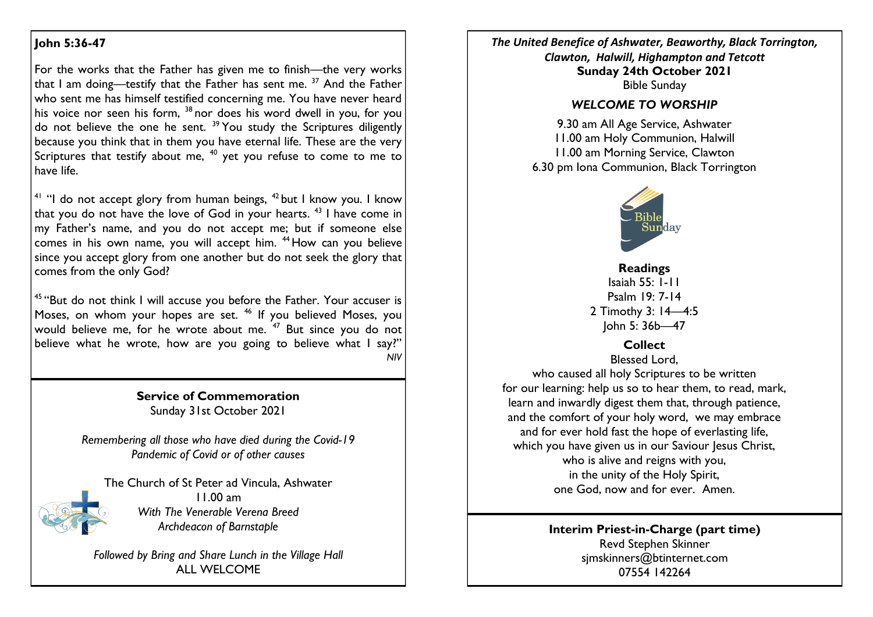## **John 5:36-47**

For the works that the Father has given me to finish—the very works that I am doing—testify that the Father has sent me.  $37$  And the Father who sent me has himself testified concerning me. You have never heard his voice nor seen his form,  $38$  nor does his word dwell in you, for you do not believe the one he sent.  $39$  You study the Scriptures diligently because you think that in them you have eternal life. These are the very Scriptures that testify about me,  $40$  yet you refuse to come to me to have life.

<sup>41</sup> "I do not accept glory from human beings,  $42$  but I know you. I know that you do not have the love of God in your hearts.  $43$  I have come in my Father's name, and you do not accept me; but if someone else comes in his own name, you will accept him. <sup>44</sup> How can you believe since you accept glory from one another but do not seek the glory that comes from the only God?

<sup>45</sup> "But do not think I will accuse you before the Father. Your accuser is Moses, on whom your hopes are set.  $46$  If you believed Moses, you would believe me, for he wrote about me.  $47$  But since you do not believe what he wrote, how are you going to believe what I say?" *NIV*

> **Service of Commemoration** Sunday 31st October 2021

*Remembering all those who have died during the Covid-19 Pandemic of Covid or of other causes*

The Church of St Peter ad Vincula, Ashwater 11.00 am *With The Venerable Verena Breed Archdeacon of Barnstaple*

*Followed by Bring and Share Lunch in the Village Hall* ALL WELCOME

*The United Benefice of Ashwater, Beaworthy, Black Torrington, Clawton, Halwill, Highampton and Tetcott* **Sunday 24th October 2021** Bible Sunday

#### *WELCOME TO WORSHIP*

9.30 am All Age Service, Ashwater 11.00 am Holy Communion, Halwill 11.00 am Morning Service, Clawton 6.30 pm Iona Communion, Black Torrington



**Readings**  Isaiah 55: 1-11 Psalm 19: 7-14 2 Timothy 3: 14—4:5 John 5: 36b—47

**Collect**

Blessed Lord, who caused all holy Scriptures to be written for our learning: help us so to hear them, to read, mark, learn and inwardly digest them that, through patience, and the comfort of your holy word, we may embrace and for ever hold fast the hope of everlasting life, which you have given us in our Saviour Jesus Christ, who is alive and reigns with you, in the unity of the Holy Spirit, one God, now and for ever. Amen.

> **Interim Priest-in-Charge (part time)** Revd Stephen Skinner [sjmskinners@btinternet.com](mailto:sjmskinners@btinternet.com) 07554 142264